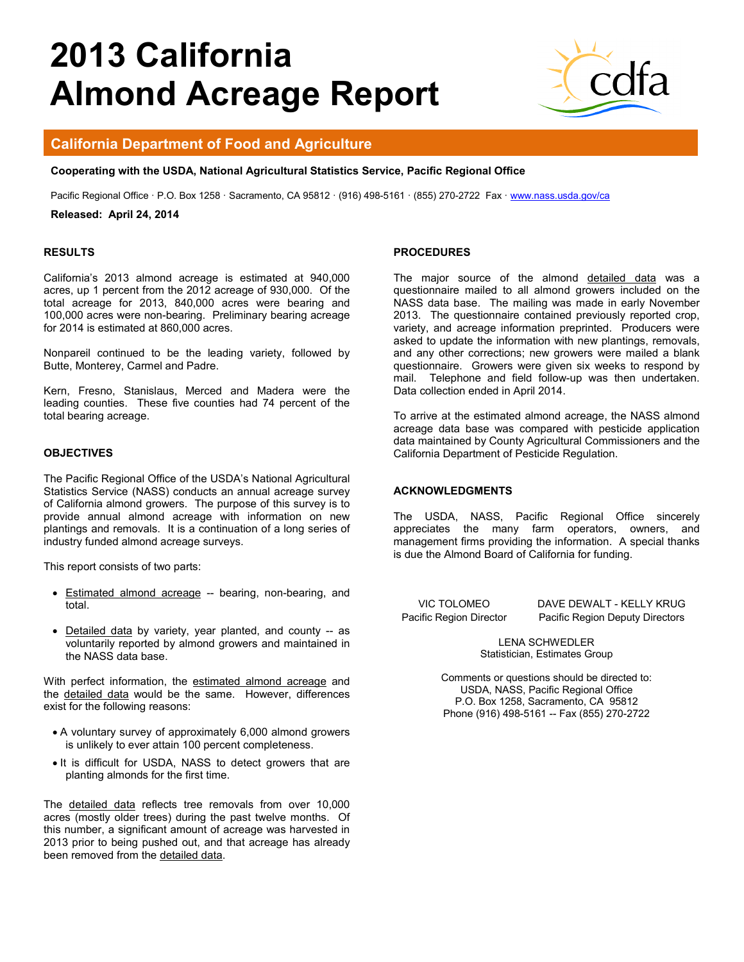# **2013 California Almond Acreage Report**



## **California Department of Food and Agriculture**

#### **Cooperating with the USDA, National Agricultural Statistics Service, Pacific Regional Office**

Pacific Regional Office · P.O. Box 1258 · Sacramento, CA 95812 · (916) 498-5161 · (855) 270-2722 Fax · www.nass.usda.gov/ca

#### **Released: April 24, 2014**

#### **RESULTS**

California's 2013 almond acreage is estimated at 940,000 acres, up 1 percent from the 2012 acreage of 930,000. Of the total acreage for 2013, 840,000 acres were bearing and 100,000 acres were non-bearing. Preliminary bearing acreage for 2014 is estimated at 860,000 acres.

Nonpareil continued to be the leading variety, followed by Butte, Monterey, Carmel and Padre.

Kern, Fresno, Stanislaus, Merced and Madera were the leading counties. These five counties had 74 percent of the total bearing acreage.

#### **OBJECTIVES**

The Pacific Regional Office of the USDA's National Agricultural Statistics Service (NASS) conducts an annual acreage survey of California almond growers. The purpose of this survey is to provide annual almond acreage with information on new plantings and removals. It is a continuation of a long series of industry funded almond acreage surveys.

This report consists of two parts:

- Estimated almond acreage -- bearing, non-bearing, and total.
- Detailed data by variety, year planted, and county -- as voluntarily reported by almond growers and maintained in the NASS data base.

With perfect information, the estimated almond acreage and the detailed data would be the same. However, differences exist for the following reasons:

- A voluntary survey of approximately 6,000 almond growers is unlikely to ever attain 100 percent completeness.
- It is difficult for USDA, NASS to detect growers that are planting almonds for the first time.

The detailed data reflects tree removals from over 10,000 acres (mostly older trees) during the past twelve months. Of this number, a significant amount of acreage was harvested in 2013 prior to being pushed out, and that acreage has already been removed from the detailed data.

#### **PROCEDURES**

The major source of the almond detailed data was a questionnaire mailed to all almond growers included on the NASS data base. The mailing was made in early November 2013. The questionnaire contained previously reported crop, variety, and acreage information preprinted. Producers were asked to update the information with new plantings, removals, and any other corrections; new growers were mailed a blank questionnaire. Growers were given six weeks to respond by mail. Telephone and field follow-up was then undertaken. Data collection ended in April 2014.

To arrive at the estimated almond acreage, the NASS almond acreage data base was compared with pesticide application data maintained by County Agricultural Commissioners and the California Department of Pesticide Regulation.

#### **ACKNOWLEDGMENTS**

The USDA, NASS, Pacific Regional Office sincerely appreciates the many farm operators, owners, and management firms providing the information. A special thanks is due the Almond Board of California for funding.

VIC TOLOMEO DAVE DEWALT - KELLY KRUG Pacific Region Director Pacific Region Deputy Directors

> LENA SCHWEDLER Statistician, Estimates Group

Comments or questions should be directed to: USDA, NASS, Pacific Regional Office P.O. Box 1258, Sacramento, CA 95812 Phone (916) 498-5161 -- Fax (855) 270-2722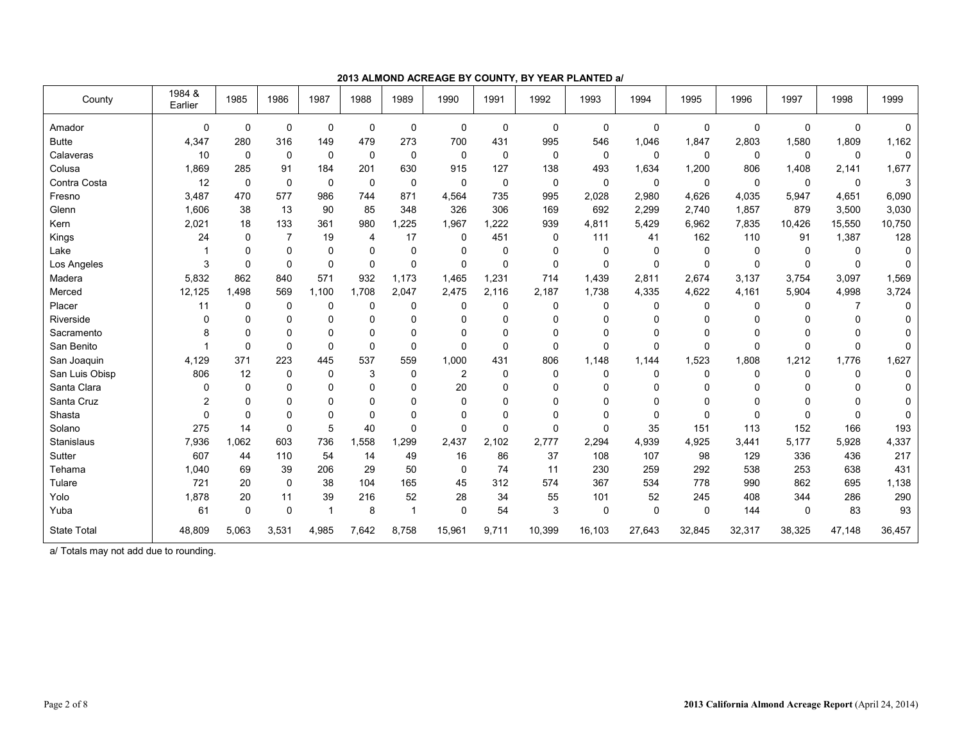| County             | 1984 &<br>Earlier | 1985        | 1986           | 1987        | 1988           | 1989        | 1990           | 1991  | 1992         | 1993        | 1994        | 1995        | 1996     | 1997     | 1998         | 1999        |
|--------------------|-------------------|-------------|----------------|-------------|----------------|-------------|----------------|-------|--------------|-------------|-------------|-------------|----------|----------|--------------|-------------|
| Amador             | 0                 | $\mathbf 0$ | 0              | $\mathbf 0$ | $\mathbf 0$    | $\mathbf 0$ | $\mathbf 0$    | 0     | $\mathbf 0$  | $\mathbf 0$ | $\mathbf 0$ | $\mathbf 0$ | 0        | 0        | $\mathbf 0$  | 0           |
| <b>Butte</b>       | 4,347             | 280         | 316            | 149         | 479            | 273         | 700            | 431   | 995          | 546         | 1,046       | 1,847       | 2,803    | 1,580    | 1,809        | 1,162       |
| Calaveras          | 10                | $\Omega$    | 0              | $\mathbf 0$ | $\mathbf 0$    | $\mathbf 0$ | $\Omega$       | 0     | $\mathbf 0$  | 0           | 0           | 0           | 0        | 0        | $\mathbf{0}$ | $\mathbf 0$ |
| Colusa             | 1,869             | 285         | 91             | 184         | 201            | 630         | 915            | 127   | 138          | 493         | 1,634       | 1,200       | 806      | 1,408    | 2,141        | 1,677       |
| Contra Costa       | 12                | $\mathbf 0$ | 0              | $\mathbf 0$ | $\mathbf 0$    | $\mathbf 0$ | $\mathbf 0$    | 0     | $\mathbf 0$  | 0           | $\mathbf 0$ | $\mathbf 0$ | 0        | 0        | $\mathbf 0$  | 3           |
| Fresno             | 3,487             | 470         | 577            | 986         | 744            | 871         | 4,564          | 735   | 995          | 2,028       | 2,980       | 4,626       | 4,035    | 5,947    | 4,651        | 6,090       |
| Glenn              | 1,606             | 38          | 13             | 90          | 85             | 348         | 326            | 306   | 169          | 692         | 2,299       | 2,740       | 1,857    | 879      | 3,500        | 3,030       |
| Kern               | 2,021             | 18          | 133            | 361         | 980            | 1,225       | 1,967          | 1,222 | 939          | 4,811       | 5,429       | 6,962       | 7,835    | 10,426   | 15,550       | 10,750      |
| Kings              | 24                | 0           | $\overline{7}$ | 19          | $\overline{4}$ | 17          | $\Omega$       | 451   | $\mathbf 0$  | 111         | 41          | 162         | 110      | 91       | 1,387        | 128         |
| Lake               |                   | 0           | 0              | 0           | 0              | $\mathbf 0$ | $\Omega$       | 0     | 0            | 0           | 0           | 0           | 0        | $\Omega$ | $\Omega$     | 0           |
| Los Angeles        | 3                 | $\Omega$    | 0              | $\mathbf 0$ | $\Omega$       | $\Omega$    | $\Omega$       | 0     | $\mathbf{0}$ | $\Omega$    | 0           | $\Omega$    | $\Omega$ | $\Omega$ | $\Omega$     | $\Omega$    |
| Madera             | 5,832             | 862         | 840            | 571         | 932            | 1,173       | 1,465          | 1,231 | 714          | 1,439       | 2,811       | 2,674       | 3,137    | 3,754    | 3,097        | 1,569       |
| Merced             | 12,125            | 1.498       | 569            | 1,100       | 1.708          | 2,047       | 2,475          | 2,116 | 2,187        | 1,738       | 4,335       | 4,622       | 4,161    | 5,904    | 4,998        | 3,724       |
| Placer             | 11                | 0           | 0              | 0           | 0              | $\mathbf 0$ | 0              | 0     | 0            | 0           | $\mathbf 0$ | 0           | 0        | 0        | 7            | $\mathbf 0$ |
| Riverside          | 0                 | 0           | 0              | 0           | $\Omega$       | $\Omega$    | $\Omega$       | U     | $\Omega$     | $\Omega$    | U           | O           | $\Omega$ | O        | ∩            | 0           |
| Sacramento         | 8                 | 0           | 0              | 0           | $\Omega$       | $\Omega$    | $\Omega$       | 0     | $\Omega$     | $\Omega$    | 0           | 0           | 0        | O        |              | 0           |
| San Benito         |                   | 0           | 0              | $\Omega$    | $\Omega$       | $\Omega$    | 0              | 0     | $\Omega$     | $\Omega$    | $\mathbf 0$ | $\Omega$    | 0        | 0        | $\Omega$     | $\Omega$    |
| San Joaquin        | 4,129             | 371         | 223            | 445         | 537            | 559         | 1,000          | 431   | 806          | 1,148       | 1,144       | 1,523       | 1,808    | 1,212    | 1,776        | 1,627       |
| San Luis Obisp     | 806               | 12          | 0              | $\mathbf 0$ | 3              | $\mathbf 0$ | $\overline{2}$ | 0     | $\Omega$     | $\Omega$    | $\mathbf 0$ | $\Omega$    | 0        | $\Omega$ | $\Omega$     | $\Omega$    |
| Santa Clara        | 0                 | 0           | 0              | $\Omega$    | $\Omega$       | $\Omega$    | 20             | 0     | 0            | $\mathbf 0$ | $\Omega$    | $\Omega$    | 0        | O        |              | 0           |
| Santa Cruz         | 2                 | 0           | 0              | 0           | $\Omega$       | $\mathbf 0$ | 0              | 0     | 0            | $\Omega$    | $\Omega$    | $\Omega$    | U        | ∩        |              | 0           |
| Shasta             | 0                 | 0           | 0              | $\mathbf 0$ | $\Omega$       | $\mathbf 0$ | 0              | 0     | 0            | $\Omega$    | 0           | $\Omega$    | $\Omega$ | 0        | $\Omega$     | 0           |
| Solano             | 275               | 14          | 0              | 5           | 40             | $\Omega$    | $\Omega$       | 0     | $\Omega$     | $\Omega$    | 35          | 151         | 113      | 152      | 166          | 193         |
| Stanislaus         | 7,936             | 1.062       | 603            | 736         | 1.558          | 1.299       | 2.437          | 2,102 | 2,777        | 2,294       | 4,939       | 4,925       | 3,441    | 5,177    | 5,928        | 4,337       |
| Sutter             | 607               | 44          | 110            | 54          | 14             | 49          | 16             | 86    | 37           | 108         | 107         | 98          | 129      | 336      | 436          | 217         |
| Tehama             | 1,040             | 69          | 39             | 206         | 29             | 50          | $\mathbf 0$    | 74    | 11           | 230         | 259         | 292         | 538      | 253      | 638          | 431         |
| Tulare             | 721               | 20          | 0              | 38          | 104            | 165         | 45             | 312   | 574          | 367         | 534         | 778         | 990      | 862      | 695          | 1,138       |
| Yolo               | 1,878             | 20          | 11             | 39          | 216            | 52          | 28             | 34    | 55           | 101         | 52          | 245         | 408      | 344      | 286          | 290         |
| Yuba               | 61                | 0           | 0              | 1           | 8              | -1          | $\mathbf 0$    | 54    | 3            | 0           | 0           | $\mathbf 0$ | 144      | 0        | 83           | 93          |
| <b>State Total</b> | 48,809            | 5,063       | 3,531          | 4,985       | 7,642          | 8,758       | 15,961         | 9,711 | 10,399       | 16,103      | 27,643      | 32,845      | 32,317   | 38,325   | 47,148       | 36,457      |

**2013 ALMOND ACREAGE BY COUNTY, BY YEAR PLANTED a/** 

a/ Totals may not add due to rounding.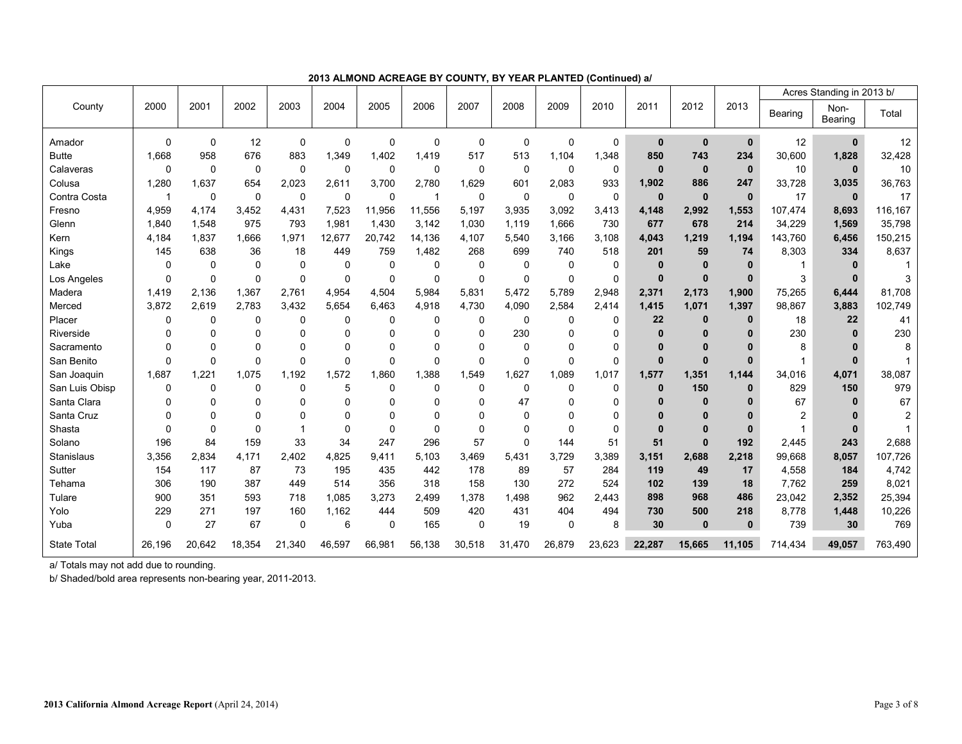|                    |                         |             |              |             |             |          |             |          |             |             |          |              |              |              |         | Acres Standing in 2013 b/ |                |
|--------------------|-------------------------|-------------|--------------|-------------|-------------|----------|-------------|----------|-------------|-------------|----------|--------------|--------------|--------------|---------|---------------------------|----------------|
| County             | 2000                    | 2001        | 2002         | 2003        | 2004        | 2005     | 2006        | 2007     | 2008        | 2009        | 2010     | 2011         | 2012         | 2013         | Bearing | Non-<br>Bearing           | Total          |
| Amador             | $\Omega$                | 0           | 12           | $\mathbf 0$ | 0           | $\Omega$ | $\Omega$    | 0        | $\Omega$    | $\mathbf 0$ | 0        | $\mathbf{0}$ | $\bf{0}$     | $\mathbf 0$  | 12      | $\mathbf 0$               | 12             |
| <b>Butte</b>       | 1,668                   | 958         | 676          | 883         | 1,349       | 1,402    | 1,419       | 517      | 513         | 1,104       | 1,348    | 850          | 743          | 234          | 30,600  | 1,828                     | 32,428         |
| Calaveras          | $\Omega$                | $\Omega$    | $\mathbf 0$  | $\Omega$    | $\Omega$    | $\Omega$ | $\mathbf 0$ | 0        | $\Omega$    | $\mathbf 0$ | 0        | $\mathbf{0}$ | $\mathbf 0$  | $\mathbf{0}$ | 10      | $\mathbf{0}$              | 10             |
| Colusa             | 1,280                   | 1,637       | 654          | 2,023       | 2,611       | 3,700    | 2,780       | 1,629    | 601         | 2,083       | 933      | 1,902        | 886          | 247          | 33,728  | 3,035                     | 36,763         |
| Contra Costa       | $\overline{\mathbf{1}}$ | $\mathbf 0$ | $\mathbf 0$  | $\mathbf 0$ | $\mathbf 0$ | $\Omega$ | -1          | 0        | 0           | 0           | 0        | $\bf{0}$     | $\mathbf{0}$ | $\mathbf{0}$ | 17      | $\mathbf{0}$              | 17             |
| Fresno             | 4.959                   | 4.174       | 3,452        | 4.431       | 7,523       | 11,956   | 11,556      | 5,197    | 3,935       | 3,092       | 3,413    | 4,148        | 2,992        | 1,553        | 107,474 | 8,693                     | 116,167        |
| Glenn              | 1,840                   | 1,548       | 975          | 793         | 1,981       | 1,430    | 3,142       | 1,030    | 1,119       | 1,666       | 730      | 677          | 678          | 214          | 34,229  | 1,569                     | 35,798         |
| Kern               | 4,184                   | 1,837       | 1.666        | 1.971       | 12,677      | 20,742   | 14,136      | 4,107    | 5,540       | 3,166       | 3,108    | 4,043        | 1,219        | 1,194        | 143,760 | 6,456                     | 150,215        |
| Kings              | 145                     | 638         | 36           | 18          | 449         | 759      | 1,482       | 268      | 699         | 740         | 518      | 201          | 59           | 74           | 8,303   | 334                       | 8,637          |
| Lake               | 0                       | 0           | 0            | $\mathbf 0$ | $\mathbf 0$ | 0        | $\mathbf 0$ | 0        | 0           | 0           | 0        | $\bf{0}$     | $\mathbf{0}$ | 0            |         | $\bf{0}$                  |                |
| Los Angeles        | $\Omega$                | $\mathbf 0$ | $\mathbf 0$  | $\mathbf 0$ | 0           | $\Omega$ | $\mathbf 0$ | 0        | $\mathbf 0$ | $\mathbf 0$ | 0        | $\mathbf{0}$ | $\mathbf 0$  | $\mathbf{0}$ | 3       | $\bf{0}$                  | 3              |
| Madera             | 1,419                   | 2.136       | 1,367        | 2.761       | 4,954       | 4,504    | 5,984       | 5,831    | 5,472       | 5,789       | 2,948    | 2,371        | 2,173        | 1,900        | 75,265  | 6,444                     | 81,708         |
| Merced             | 3.872                   | 2.619       | 2.783        | 3.432       | 5.654       | 6.463    | 4,918       | 4,730    | 4,090       | 2,584       | 2,414    | 1,415        | 1,071        | 1,397        | 98,867  | 3,883                     | 102,749        |
| Placer             | 0                       | $\mathbf 0$ | 0            | 0           | $\Omega$    | $\Omega$ | $\Omega$    | 0        | 0           | $\mathbf 0$ | 0        | 22           | $\bf{0}$     | $\bf{0}$     | 18      | 22                        | 41             |
| Riverside          | 0                       | $\Omega$    | $\Omega$     | $\Omega$    | $\Omega$    | $\Omega$ | $\Omega$    | $\Omega$ | 230         | $\Omega$    | 0        | $\bf{0}$     | $\bf{0}$     | $\mathbf{0}$ | 230     | $\mathbf{0}$              | 230            |
| Sacramento         | 0                       | $\mathbf 0$ | $\mathbf 0$  | $\Omega$    | $\mathbf 0$ | 0        | $\Omega$    | 0        | $\Omega$    | $\Omega$    | 0        | $\bf{0}$     | $\bf{0}$     | $\mathbf{0}$ | 8       |                           | 8              |
| San Benito         | $\Omega$                | $\mathbf 0$ | $\mathbf 0$  | $\mathbf 0$ | $\mathbf 0$ | $\Omega$ | $\mathbf 0$ | 0        | $\mathbf 0$ | $\mathbf 0$ | 0        | $\bf{0}$     | $\mathbf 0$  | 0            |         | $\Omega$                  |                |
| San Joaquin        | 1.687                   | 1,221       | 1,075        | 1.192       | 1,572       | 1.860    | 1,388       | 1,549    | .627<br>1   | 1,089       | 1,017    | 1,577        | 1,351        | 1,144        | 34,016  | 4,071                     | 38,087         |
| San Luis Obisp     | 0                       | 0           | $\mathbf 0$  | 0           | 5           | 0        | 0           | 0        | 0           | 0           | 0        | $\mathbf 0$  | 150          | $\mathbf{0}$ | 829     | 150                       | 979            |
| Santa Clara        | 0                       | $\Omega$    | $\mathbf{0}$ | $\Omega$    | $\Omega$    | $\Omega$ | $\Omega$    | U        | 47          | $\Omega$    | 0        | $\Omega$     | $\bf{0}$     | 0            | 67      | $\mathbf{0}$              | 67             |
| Santa Cruz         | $\Omega$                | $\Omega$    | $\Omega$     | $\Omega$    | $\Omega$    | $\Omega$ | $\Omega$    | U        | $\Omega$    | $\Omega$    | $\Omega$ | $\Omega$     | $\Omega$     | $\mathbf{0}$ | 2       |                           | $\overline{2}$ |
| Shasta             | 0                       | $\mathbf 0$ | $\mathbf 0$  | 1           | $\Omega$    | $\Omega$ | $\Omega$    | $\Omega$ | $\Omega$    | $\Omega$    | 0        | $\Omega$     | $\bf{0}$     | 0            | 1       | $\bf{0}$                  |                |
| Solano             | 196                     | 84          | 159          | 33          | 34          | 247      | 296         | 57       | $\Omega$    | 144         | 51       | 51           | $\mathbf{0}$ | 192          | 2,445   | 243                       | 2,688          |
| <b>Stanislaus</b>  | 3,356                   | 2.834       | 4,171        | 2,402       | 4,825       | 9,411    | 5,103       | 3,469    | 5,431       | 3,729       | 3,389    | 3,151        | 2,688        | 2,218        | 99,668  | 8,057                     | 107,726        |
| Sutter             | 154                     | 117         | 87           | 73          | 195         | 435      | 442         | 178      | 89          | 57          | 284      | 119          | 49           | 17           | 4,558   | 184                       | 4,742          |
| Tehama             | 306                     | 190         | 387          | 449         | 514         | 356      | 318         | 158      | 130         | 272         | 524      | 102          | 139          | 18           | 7,762   | 259                       | 8,021          |
| Tulare             | 900                     | 351         | 593          | 718         | 1,085       | 3,273    | 2.499       | 1,378    | 1.498       | 962         | 2,443    | 898          | 968          | 486          | 23,042  | 2,352                     | 25,394         |
| Yolo               | 229                     | 271         | 197          | 160         | 1,162       | 444      | 509         | 420      | 431         | 404         | 494      | 730          | 500          | 218          | 8,778   | 1,448                     | 10,226         |
| Yuba               | $\mathbf 0$             | 27          | 67           | 0           | 6           | 0        | 165         | 0        | 19          | $\mathbf 0$ | 8        | 30           | $\mathbf{0}$ | $\bf{0}$     | 739     | 30                        | 769            |
| <b>State Total</b> | 26,196                  | 20,642      | 18,354       | 21,340      | 46,597      | 66,981   | 56,138      | 30,518   | 31,470      | 26,879      | 23,623   | 22,287       | 15,665       | 11,105       | 714,434 | 49,057                    | 763,490        |

**2013 ALMOND ACREAGE BY COUNTY, BY YEAR PLANTED (Continued) a/** 

a/ Totals may not add due to rounding.

b/ Shaded/bold area represents non-bearing year, 2011-2013.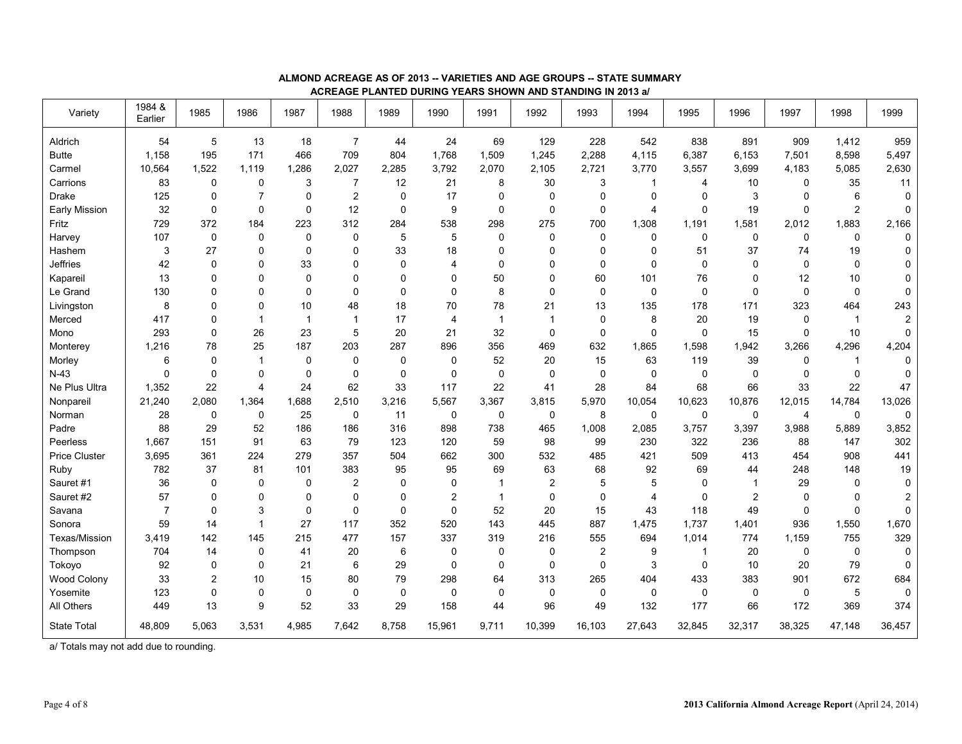| Variety              | 1984 &<br>Earlier | 1985        | 1986           | 1987           | 1988           | 1989        | 1990           | 1991           | 1992           | 1993        | 1994           | 1995         | 1996           | 1997           | 1998         | 1999           |
|----------------------|-------------------|-------------|----------------|----------------|----------------|-------------|----------------|----------------|----------------|-------------|----------------|--------------|----------------|----------------|--------------|----------------|
| Aldrich              | 54                | 5           | 13             | 18             | $\overline{7}$ | 44          | 24             | 69             | 129            | 228         | 542            | 838          | 891            | 909            | 1,412        | 959            |
| <b>Butte</b>         | 1,158             | 195         | 171            | 466            | 709            | 804         | 1,768          | 1,509          | 1,245          | 2,288       | 4,115          | 6,387        | 6,153          | 7,501          | 8,598        | 5,497          |
| Carmel               | 10,564            | 1,522       | 1,119          | 1,286          | 2,027          | 2,285       | 3,792          | 2,070          | 2,105          | 2,721       | 3,770          | 3,557        | 3,699          | 4,183          | 5,085        | 2,630          |
| Carrions             | 83                | $\mathbf 0$ | $\mathbf 0$    | 3              | $\overline{7}$ | 12          | 21             | 8              | 30             | 3           | -1             | 4            | 10             | 0              | 35           | 11             |
| <b>Drake</b>         | 125               | $\mathbf 0$ | $\overline{7}$ | 0              | $\overline{c}$ | 0           | 17             | 0              | $\mathbf 0$    | $\mathbf 0$ | 0              | 0            | 3              | 0              | 6            | $\mathbf 0$    |
| <b>Early Mission</b> | 32                | $\mathbf 0$ | $\mathbf 0$    | 0              | 12             | $\mathbf 0$ | 9              | $\mathbf 0$    | 0              | $\mathbf 0$ | 4              | 0            | 19             | $\Omega$       | 2            | 0              |
| Fritz                | 729               | 372         | 184            | 223            | 312            | 284         | 538            | 298            | 275            | 700         | 1,308          | 1,191        | 1,581          | 2,012          | 1,883        | 2,166          |
| Harvey               | 107               | $\pmb{0}$   | 0              | 0              | 0              | 5           | 5              | 0              | 0              | $\mathbf 0$ | 0              | 0            | $\mathbf 0$    | $\mathbf 0$    | $\mathbf 0$  | 0              |
| Hashem               | 3                 | 27          | 0              | 0              | $\Omega$       | 33          | 18             | 0              | $\Omega$       | $\mathbf 0$ | 0              | 51           | 37             | 74             | 19           | 0              |
| <b>Jeffries</b>      | 42                | $\mathbf 0$ | 0              | 33             | $\mathbf 0$    | $\mathbf 0$ | $\overline{4}$ | 0              | 0              | $\mathbf 0$ | $\mathbf 0$    | 0            | $\Omega$       | $\Omega$       | $\mathbf 0$  | $\pmb{0}$      |
| Kapareil             | 13                | $\mathbf 0$ | 0              | 0              | 0              | $\mathbf 0$ | 0              | 50             | 0              | 60          | 101            | 76           | 0              | 12             | 10           | $\pmb{0}$      |
| Le Grand             | 130               | $\mathbf 0$ | $\mathbf 0$    | 0              | $\mathbf 0$    | $\mathbf 0$ | $\mathbf 0$    | 8              | $\mathbf 0$    | $\mathsf 0$ | 0              | 0            | $\mathbf 0$    | 0              | $\mathbf 0$  | $\pmb{0}$      |
| Livingston           | 8                 | $\mathbf 0$ | 0              | 10             | 48             | 18          | 70             | 78             | 21             | 13          | 135            | 178          | 171            | 323            | 464          | 243            |
| Merced               | 417               | $\mathbf 0$ | $\overline{1}$ | $\overline{1}$ | $\overline{1}$ | 17          | $\overline{4}$ | $\overline{1}$ | $\mathbf{1}$   | $\mathbf 0$ | 8              | 20           | 19             | 0              | $\mathbf{1}$ | $\overline{c}$ |
| Mono                 | 293               | $\mathbf 0$ | 26             | 23             | 5              | 20          | 21             | 32             | 0              | $\mathbf 0$ | 0              | $\pmb{0}$    | 15             | $\Omega$       | 10           | $\pmb{0}$      |
| Monterey             | 1,216             | 78          | 25             | 187            | 203            | 287         | 896            | 356            | 469            | 632         | 1,865          | 1,598        | 1,942          | 3,266          | 4,296        | 4,204          |
| Morley               | 6                 | $\mathbf 0$ | $\overline{1}$ | 0              | $\mathbf 0$    | $\mathbf 0$ | 0              | 52             | 20             | 15          | 63             | 119          | 39             | 0              | $\mathbf{1}$ | $\mathbf 0$    |
| $N-43$               | $\mathbf 0$       | $\pmb{0}$   | $\mathbf 0$    | 0              | $\mathbf 0$    | $\mathbf 0$ | $\mathbf 0$    | $\mathbf 0$    | $\mathbf 0$    | $\mathbf 0$ | $\mathbf 0$    | 0            | $\mathbf 0$    | $\Omega$       | $\mathbf 0$  | $\pmb{0}$      |
| Ne Plus Ultra        | 1,352             | 22          | 4              | 24             | 62             | 33          | 117            | 22             | 41             | 28          | 84             | 68           | 66             | 33             | 22           | 47             |
| Nonpareil            | 21,240            | 2,080       | 1,364          | 1,688          | 2,510          | 3,216       | 5,567          | 3,367          | 3,815          | 5,970       | 10,054         | 10,623       | 10,876         | 12,015         | 14,784       | 13,026         |
| Norman               | 28                | $\mathbf 0$ | $\mathbf 0$    | 25             | $\mathbf 0$    | 11          | 0              | 0              | $\mathbf 0$    | 8           | $\mathbf 0$    | $\mathbf 0$  | $\mathbf 0$    | $\overline{4}$ | $\mathbf 0$  | $\pmb{0}$      |
| Padre                | 88                | 29          | 52             | 186            | 186            | 316         | 898            | 738            | 465            | 1,008       | 2,085          | 3,757        | 3,397          | 3,988          | 5.889        | 3,852          |
| Peerless             | 1.667             | 151         | 91             | 63             | 79             | 123         | 120            | 59             | 98             | 99          | 230            | 322          | 236            | 88             | 147          | 302            |
| <b>Price Cluster</b> | 3,695             | 361         | 224            | 279            | 357            | 504         | 662            | 300            | 532            | 485         | 421            | 509          | 413            | 454            | 908          | 441            |
| Ruby                 | 782               | 37          | 81             | 101            | 383            | 95          | 95             | 69             | 63             | 68          | 92             | 69           | 44             | 248            | 148          | 19             |
| Sauret #1            | 36                | $\mathbf 0$ | $\mathbf 0$    | 0              | $\overline{c}$ | $\mathbf 0$ | $\mathbf 0$    | $\overline{1}$ | $\overline{c}$ | 5           | 5              | 0            | $\overline{1}$ | 29             | $\mathbf 0$  | $\pmb{0}$      |
| Sauret #2            | 57                | $\mathbf 0$ | $\mathbf 0$    | 0              | $\mathbf 0$    | $\mathbf 0$ | $\overline{2}$ | $\overline{1}$ | 0              | $\mathbf 0$ | $\overline{4}$ | $\mathbf 0$  | $\overline{c}$ | $\Omega$       | $\mathbf 0$  | $\overline{2}$ |
| Savana               | $\overline{7}$    | $\mathbf 0$ | $\mathbf{3}$   | 0              | 0              | $\mathbf 0$ | $\mathbf 0$    | 52             | 20             | 15          | 43             | 118          | 49             | $\mathbf 0$    | $\mathbf 0$  | $\pmb{0}$      |
| Sonora               | 59                | 14          | $\overline{1}$ | 27             | 117            | 352         | 520            | 143            | 445            | 887         | 1,475          | 1,737        | 1,401          | 936            | 1,550        | 1,670          |
| Texas/Mission        | 3,419             | 142         | 145            | 215            | 477            | 157         | 337            | 319            | 216            | 555         | 694            | 1,014        | 774            | 1,159          | 755          | 329            |
| Thompson             | 704               | 14          | $\mathbf 0$    | 41             | 20             | 6           | $\Omega$       | $\Omega$       | 0              | 2           | 9              | $\mathbf{1}$ | 20             | $\Omega$       | $\mathbf 0$  | $\pmb{0}$      |
| Tokovo               | 92                | $\mathbf 0$ | $\Omega$       | 21             | 6              | 29          | $\Omega$       | $\Omega$       | $\mathbf 0$    | $\mathbf 0$ | 3              | 0            | 10             | 20             | 79           | $\mathbf 0$    |
| Wood Colony          | 33                | 2           | 10             | 15             | 80             | 79          | 298            | 64             | 313            | 265         | 404            | 433          | 383            | 901            | 672          | 684            |
| Yosemite             | 123               | $\mathbf 0$ | $\mathbf 0$    | $\mathbf 0$    | $\mathbf 0$    | $\mathbf 0$ | $\mathbf 0$    | $\Omega$       | 0              | $\mathbf 0$ | 0              | 0            | $\mathbf 0$    | 0              | 5            | $\mathbf 0$    |
| All Others           | 449               | 13          | 9              | 52             | 33             | 29          | 158            | 44             | 96             | 49          | 132            | 177          | 66             | 172            | 369          | 374            |
| <b>State Total</b>   | 48.809            | 5,063       | 3,531          | 4,985          | 7.642          | 8.758       | 15,961         | 9,711          | 10,399         | 16.103      | 27.643         | 32,845       | 32,317         | 38,325         | 47.148       | 36.457         |

#### **ALMOND ACREAGE AS OF 2013 -- VARIETIES AND AGE GROUPS -- STATE SUMMARY ACREAGE PLANTED DURING YEARS SHOWN AND STANDING IN 2013 a/**

a/ Totals may not add due to rounding.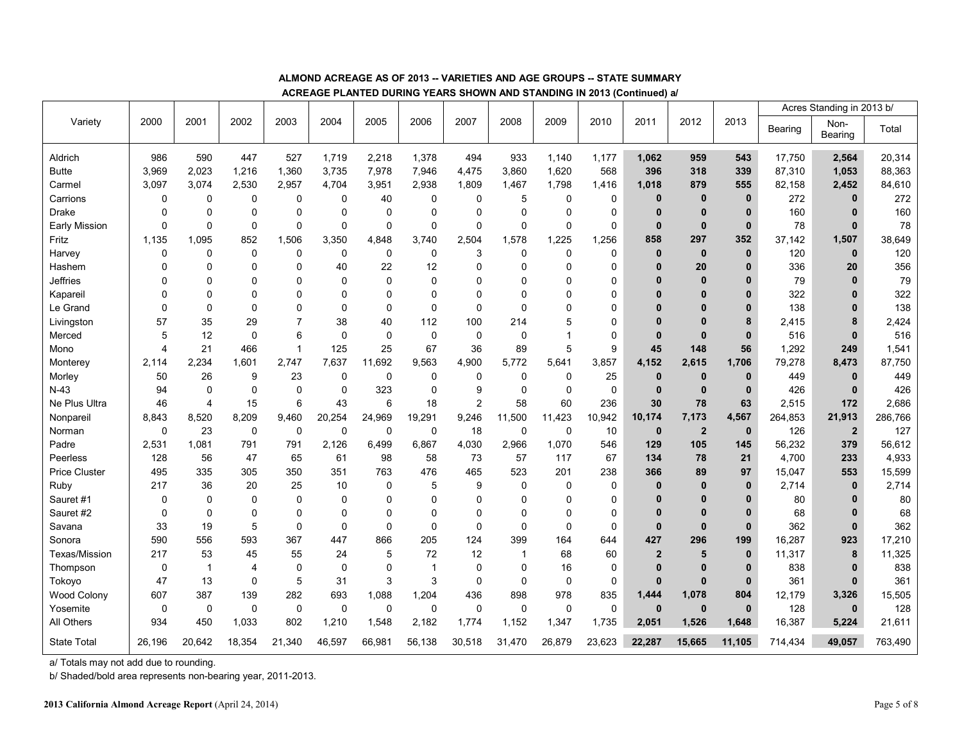|                      |                |              |                |                |             |              |              |                |                |             |                     |                |                         |              |         | Acres Standing in 2013 b/ |         |
|----------------------|----------------|--------------|----------------|----------------|-------------|--------------|--------------|----------------|----------------|-------------|---------------------|----------------|-------------------------|--------------|---------|---------------------------|---------|
| Variety              | 2000           | 2001         | 2002           | 2003           | 2004        | 2005         | 2006         | 2007           | 2008           | 2009        | 2010                | 2011           | 2012                    | 2013         | Bearing | Non-<br>Bearing           | Total   |
| Aldrich              | 986            | 590          | 447            | 527            | 1,719       | 2,218        | 1,378        | 494            | 933            | 1,140       | 1,177               | 1,062          | 959                     | 543          | 17,750  | 2,564                     | 20,314  |
| <b>Butte</b>         | 3,969          | 2,023        | 1,216          | 1,360          | 3,735       | 7,978        | 7,946        | 4,475          | 3,860          | 1,620       | 568                 | 396            | 318                     | 339          | 87,310  | 1,053                     | 88,363  |
| Carmel               | 3,097          | 3,074        | 2,530          | 2,957          | 4,704       | 3,951        | 2,938        | 1,809          | 1,467          | 1,798       | 1,416               | 1,018          | 879                     | 555          | 82,158  | 2,452                     | 84,610  |
| Carrions             | 0              | 0            | $\mathbf 0$    | 0              | 0           | 40           | 0            | $\mathbf 0$    | 5              | $\mathbf 0$ | 0                   | $\mathbf{0}$   | $\mathbf{0}$            | $\bf{0}$     | 272     | $\mathbf 0$               | 272     |
| <b>Drake</b>         | $\Omega$       | 0            | $\Omega$       | 0              | $\Omega$    | $\Omega$     | $\Omega$     | $\Omega$       | $\Omega$       | $\mathbf 0$ | 0                   | $\mathbf{0}$   | $\mathbf{0}$            | $\mathbf{0}$ | 160     | $\bf{0}$                  | 160     |
| Early Mission        | 0              | 0            | $\mathbf 0$    | 0              | 0           | $\mathbf 0$  | 0            | $\mathbf 0$    | $\mathbf 0$    | $\mathbf 0$ | $\mathbf 0$         | $\mathbf{0}$   | $\mathbf{0}$            | $\mathbf 0$  | 78      | $\mathbf{0}$              | 78      |
| Fritz                | 1,135          | 1,095        | 852            | 1,506          | 3,350       | 4,848        | 3,740        | 2,504          | 1,578          | 1,225       | 1,256               | 858            | 297                     | 352          | 37,142  | 1,507                     | 38,649  |
| Harvey               | 0              | 0            | $\mathbf 0$    | $\mathbf 0$    | 0           | $\mathbf 0$  | 0            | 3              | $\mathbf 0$    | $\mathbf 0$ | $\mathbf 0$         | $\mathbf{0}$   | $\pmb{0}$               | $\mathbf 0$  | 120     | $\mathbf{0}$              | 120     |
| Hashem               | 0              | $\Omega$     | $\Omega$       | 0              | 40          | 22           | 12           | O              | $\Omega$       | $\Omega$    | $\mathbf 0$         | $\mathbf{0}$   | 20                      | 0            | 336     | 20                        | 356     |
| Jeffries             | $\mathbf{0}$   | 0            | $\mathbf 0$    | 0              | 0           | $\mathbf 0$  | $\Omega$     | O              | $\Omega$       | $\Omega$    | $\mathbf 0$         | $\bf{0}$       | $\bf{0}$                | 0            | 79      | $\mathbf{0}$              | 79      |
| Kapareil             | $\Omega$       | $\Omega$     | $\Omega$       | 0              | $\Omega$    | $\Omega$     | $\Omega$     | $\Omega$       | $\Omega$       | $\Omega$    | $\mathbf 0$         | $\Omega$       | $\Omega$                | $\mathbf{0}$ | 322     | $\mathbf{0}$              | 322     |
| Le Grand             | 0              | 0            | $\mathbf 0$    | 0              | $\Omega$    | $\mathbf 0$  | 0            | $\Omega$       | $\Omega$       | $\Omega$    | $\mathbf 0$         | $\Omega$       | $\bf{0}$                | 0            | 138     | $\bf{0}$                  | 138     |
| Livingston           | 57             | 35           | 29             | $\overline{7}$ | 38          | 40           | 112          | 100            | 214            | 5           | $\mathbf 0$         | $\Omega$       | $\bf{0}$                | 8            | 2,415   | 8                         | 2,424   |
| Merced               | 5              | 12           | $\mathbf 0$    | 6              | 0           | $\pmb{0}$    | 0            | $\mathbf 0$    | $\mathbf 0$    | 1           | 0                   | $\mathbf{0}$   | $\bf{0}$                | $\mathbf{0}$ | 516     | $\mathbf{0}$              | 516     |
| Mono                 | $\overline{4}$ | 21           | 466            | $\overline{1}$ | 125         | 25           | 67           | 36             | 89             | 5           | 9                   | 45             | 148                     | 56           | 1,292   | 249                       | 1,541   |
| Monterey             | 2.114          | 2,234        | 1,601          | 2.747          | 7,637       | 11,692       | 9,563        | 4,900          | 5,772          | 5,641       | 3,857               | 4,152          | 2,615                   | 1,706        | 79,278  | 8,473                     | 87,750  |
| Morley               | 50             | 26           | 9              | 23             | $\mathbf 0$ | $\mathbf 0$  | 0            | $\mathbf 0$    | $\mathbf 0$    | $\mathbf 0$ | 25                  | $\mathbf{0}$   | $\mathbf{0}$            | $\mathbf{0}$ | 449     | $\mathbf 0$               | 449     |
| $N-43$               | 94             | $\Omega$     | $\Omega$       | 0              | $\mathbf 0$ | 323          | 0            | 9              | $\mathbf 0$    | $\Omega$    | $\mathbf 0$         | $\mathbf{0}$   | $\mathbf{0}$            | $\mathbf{0}$ | 426     | $\bf{0}$                  | 426     |
| Ne Plus Ultra        | 46             | 4            | 15             | 6              | 43          | 6            | 18           | $\overline{2}$ | 58             | 60          | 236                 | 30             | 78                      | 63           | 2,515   | 172                       | 2,686   |
| Nonpareil            | 8,843          | 8,520        | 8,209          | 9,460          | 20,254      | 24,969       | 19,291       | 9,246          | 11,500         | 11,423      | 10,942              | 10,174         | 7,173                   | 4,567        | 264,853 | 21,913                    | 286,766 |
| Norman               | $\mathbf 0$    | 23           | $\mathbf 0$    | $\mathbf 0$    | 0           | $\mathbf 0$  | 0            | 18             | $\mathbf 0$    | $\mathbf 0$ | 10                  | $\mathbf 0$    | $\overline{\mathbf{2}}$ | $\mathbf{0}$ | 126     | $\overline{2}$            | 127     |
| Padre                | 2,531          | 1.081        | 791            | 791            | 2,126       | 6,499        | 6,867        | 4,030          | 2,966          | 1,070       | 546                 | 129            | 105                     | 145          | 56,232  | 379                       | 56,612  |
| Peerless             | 128            | 56           | 47             | 65             | 61          | 98           | 58           | 73             | 57             | 117         | 67                  | 134            | 78                      | 21           | 4,700   | 233                       | 4,933   |
| <b>Price Cluster</b> | 495            | 335          | 305            | 350            | 351         | 763          | 476          | 465            | 523            | 201         | 238                 | 366            | 89                      | 97           | 15,047  | 553                       | 15,599  |
| Ruby                 | 217            | 36           | 20             | 25             | 10          | $\mathbf 0$  | 5            | 9              | 0              | $\mathbf 0$ | 0                   | $\mathbf{0}$   | $\bf{0}$                | $\mathbf{0}$ | 2,714   | $\mathbf 0$               | 2,714   |
| Sauret #1            | 0              | 0            | $\mathbf 0$    | 0              | $\mathbf 0$ | $\mathbf 0$  | 0            | $\Omega$       | $\mathbf 0$    | $\mathbf 0$ | 0                   | $\bf{0}$       | $\bf{0}$                | 0            | 80      | 0                         | 80      |
| Sauret #2            | $\mathbf 0$    | 0            | $\mathbf 0$    | 0              | $\Omega$    | $\mathbf 0$  | $\Omega$     | $\Omega$       | $\mathbf 0$    | $\Omega$    | 0                   | $\bf{0}$       | $\bf{0}$                | $\mathbf{0}$ | 68      | $\bf{0}$                  | 68      |
| Savana               | 33             | 19           | 5              | 0              | $\mathbf 0$ | $\mathbf 0$  | 0            | $\mathbf 0$    | $\mathbf 0$    | $\mathbf 0$ | 0                   | $\mathbf{0}$   | $\bf{0}$                | $\mathbf{0}$ | 362     | $\mathbf{0}$              | 362     |
| Sonora               | 590            | 556          | 593            | 367            | 447         | 866          | 205          | 124            | 399            | 164         | 644                 | 427            | 296                     | 199          | 16,287  | 923                       | 17,210  |
| Texas/Mission        | 217            | 53           | 45             | 55             | 24          | 5            | 72           | 12             | $\overline{1}$ | 68          | 60                  | $\overline{2}$ | 5                       | $\mathbf 0$  | 11,317  | 8                         | 11,325  |
| Thompson             | 0              | $\mathbf{1}$ | $\overline{4}$ | $\mathbf 0$    | 0           | $\mathbf 0$  | $\mathbf{1}$ | $\Omega$       | $\Omega$       | 16          | $\mathbf 0$         | $\mathbf{0}$   | $\mathbf{0}$            | $\mathbf{0}$ | 838     | $\bf{0}$                  | 838     |
| Tokoyo               | 47             | 13           | $\mathbf 0$    | 5              | 31          | $\mathbf{3}$ | 3            | $\mathbf 0$    | $\mathbf 0$    | 0           | $\mathsf{O}\xspace$ | $\mathbf{0}$   | $\mathbf{0}$            | $\bf{0}$     | 361     | $\mathbf 0$               | 361     |
| Wood Colony          | 607            | 387          | 139            | 282            | 693         | 1,088        | 1,204        | 436            | 898            | 978         | 835                 | 1,444          | 1,078                   | 804          | 12,179  | 3,326                     | 15,505  |
| Yosemite             | 0              | 0            | $\mathbf 0$    | 0              | 0           | $\mathbf 0$  | 0            | $\mathbf 0$    | $\mathbf 0$    | $\mathbf 0$ | 0                   | $\mathbf{0}$   | $\mathbf{0}$            | $\mathbf{0}$ | 128     | $\mathbf{0}$              | 128     |
| All Others           | 934            | 450          | 1.033          | 802            | 1,210       | 1,548        | 2,182        | 1,774          | 1,152          | 1,347       | 1,735               | 2,051          | 1.526                   | 1.648        | 16,387  | 5,224                     | 21,611  |
| <b>State Total</b>   | 26,196         | 20,642       | 18,354         | 21,340         | 46,597      | 66,981       | 56,138       | 30,518         | 31,470         | 26,879      | 23,623              | 22,287         | 15,665                  | 11,105       | 714,434 | 49,057                    | 763,490 |

### **ALMOND ACREAGE AS OF 2013 -- VARIETIES AND AGE GROUPS -- STATE SUMMARY**

**ACREAGE PLANTED DURING YEARS SHOWN AND STANDING IN 2013 (Continued) a/** 

a/ Totals may not add due to rounding.

b/ Shaded/bold area represents non-bearing year, 2011-2013.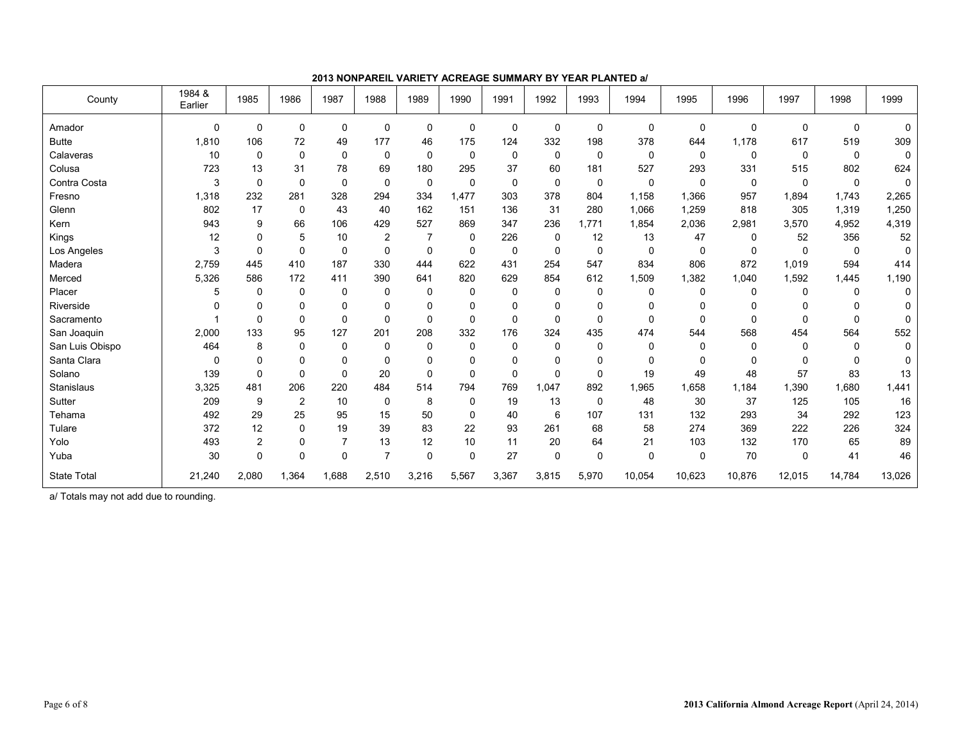| County             | 1984 &<br>Earlier | 1985           | 1986           | 1987     | 1988           | 1989           | 1990         | 1991        | 1992     | 1993        | 1994     | 1995        | 1996         | 1997     | 1998     | 1999        |
|--------------------|-------------------|----------------|----------------|----------|----------------|----------------|--------------|-------------|----------|-------------|----------|-------------|--------------|----------|----------|-------------|
| Amador             | $\Omega$          | 0              | $\mathbf 0$    | 0        | 0              | 0              | $\mathbf 0$  | $\mathbf 0$ | 0        | 0           | 0        | $\mathbf 0$ | $\Omega$     | 0        | $\Omega$ | $\Omega$    |
| <b>Butte</b>       | 1,810             | 106            | 72             | 49       | 177            | 46             | 175          | 124         | 332      | 198         | 378      | 644         | 1,178        | 617      | 519      | 309         |
| Calaveras          | 10                | 0              | $\mathbf 0$    | $\Omega$ | 0              | $\Omega$       | $\mathbf 0$  | 0           | 0        | $\mathbf 0$ | 0        | 0           | $\mathbf{0}$ | 0        | $\Omega$ | $\mathbf 0$ |
| Colusa             | 723               | 13             | 31             | 78       | 69             | 180            | 295          | 37          | 60       | 181         | 527      | 293         | 331          | 515      | 802      | 624         |
| Contra Costa       | 3                 | $\mathbf 0$    | $\mathbf 0$    | $\Omega$ | 0              | $\Omega$       | $\mathbf 0$  | $\mathbf 0$ | 0        | $\mathbf 0$ | 0        | $\mathbf 0$ | $\mathbf{0}$ | $\Omega$ | $\Omega$ | $\mathbf 0$ |
| Fresno             | 1,318             | 232            | 281            | 328      | 294            | 334            | 1.477        | 303         | 378      | 804         | 1.158    | 1,366       | 957          | 1,894    | 1.743    | 2,265       |
| Glenn              | 802               | 17             | $\mathbf 0$    | 43       | 40             | 162            | 151          | 136         | 31       | 280         | 1,066    | 1,259       | 818          | 305      | 1,319    | 1,250       |
| Kern               | 943               | 9              | 66             | 106      | 429            | 527            | 869          | 347         | 236      | 1,771       | 1,854    | 2,036       | 2,981        | 3,570    | 4.952    | 4,319       |
| Kings              | 12                | 0              | 5              | 10       | 2              | $\overline{7}$ | $\mathbf 0$  | 226         | 0        | 12          | 13       | 47          | 0            | 52       | 356      | 52          |
| Los Angeles        | 3                 | $\mathbf 0$    | $\mathbf 0$    | 0        | 0              | 0              | $\mathbf 0$  | 0           | 0        | $\mathbf 0$ | 0        | 0           | 0            | 0        | 0        | $\mathbf 0$ |
| Madera             | 2,759             | 445            | 410            | 187      | 330            | 444            | 622          | 431         | 254      | 547         | 834      | 806         | 872          | 1,019    | 594      | 414         |
| Merced             | 5,326             | 586            | 172            | 411      | 390            | 641            | 820          | 629         | 854      | 612         | 1,509    | 1,382       | 1,040        | 1,592    | 1,445    | 1,190       |
| Placer             | 5                 | $\mathbf 0$    | $\mathbf 0$    | 0        | 0              | 0              | $\mathbf 0$  | $\mathbf 0$ | 0        | $\mathbf 0$ | 0        | $\mathbf 0$ | $\mathbf{0}$ | 0        | $\Omega$ | 0           |
| Riverside          |                   | 0              | $\Omega$       | 0        | 0              | $\Omega$       | 0            | $\mathbf 0$ | 0        | $\mathbf 0$ | 0        | $\Omega$    | $\Omega$     | $\Omega$ | $\Omega$ | $\Omega$    |
| Sacramento         |                   | $\mathbf 0$    | $\Omega$       | $\Omega$ | $\Omega$       | $\Omega$       | $\mathbf{0}$ | $\Omega$    | $\Omega$ | $\Omega$    | $\Omega$ | $\Omega$    | $\Omega$     | $\Omega$ | $\Omega$ | $\Omega$    |
| San Joaquin        | 2,000             | 133            | 95             | 127      | 201            | 208            | 332          | 176         | 324      | 435         | 474      | 544         | 568          | 454      | 564      | 552         |
| San Luis Obispo    | 464               | 8              | $\mathbf 0$    | $\Omega$ | 0              | $\Omega$       | $\mathbf{0}$ | $\mathbf 0$ | 0        | $\Omega$    | 0        | $\Omega$    | $\mathbf{0}$ | 0        | $\Omega$ | 0           |
| Santa Clara        | $\Omega$          | 0              | $\mathbf 0$    | 0        | 0              | $\Omega$       | 0            | $\mathbf 0$ | 0        | $\mathbf 0$ | 0        | 0           | $\Omega$     | $\Omega$ | $\Omega$ | 0           |
| Solano             | 139               | $\mathbf 0$    | $\Omega$       | $\Omega$ | 20             | $\Omega$       | $\mathbf{0}$ | $\Omega$    | $\Omega$ | $\Omega$    | 19       | 49          | 48           | 57       | 83       | 13          |
| Stanislaus         | 3,325             | 481            | 206            | 220      | 484            | 514            | 794          | 769         | 1.047    | 892         | 1,965    | 1,658       | 1,184        | 1,390    | 1.680    | 1,441       |
| Sutter             | 209               | 9              | $\overline{2}$ | 10       | $\Omega$       | 8              | 0            | 19          | 13       | $\mathbf 0$ | 48       | 30          | 37           | 125      | 105      | 16          |
| Tehama             | 492               | 29             | 25             | 95       | 15             | 50             | $\mathbf 0$  | 40          | 6        | 107         | 131      | 132         | 293          | 34       | 292      | 123         |
| Tulare             | 372               | 12             | $\mathbf 0$    | 19       | 39             | 83             | 22           | 93          | 261      | 68          | 58       | 274         | 369          | 222      | 226      | 324         |
| Yolo               | 493               | $\overline{2}$ | $\mathbf 0$    |          | 13             | 12             | 10           | 11          | 20       | 64          | 21       | 103         | 132          | 170      | 65       | 89          |
| Yuba               | 30                | 0              | $\mathbf 0$    | $\Omega$ | $\overline{7}$ | $\Omega$       | $\mathbf 0$  | 27          | 0        | $\mathbf 0$ | 0        | 0           | 70           | $\Omega$ | 41       | 46          |
| <b>State Total</b> | 21,240            | 2,080          | 1,364          | 1,688    | 2,510          | 3,216          | 5,567        | 3,367       | 3,815    | 5,970       | 10,054   | 10,623      | 10,876       | 12,015   | 14,784   | 13,026      |

**2013 NONPAREIL VARIETY ACREAGE SUMMARY BY YEAR PLANTED a/** 

a/ Totals may not add due to rounding.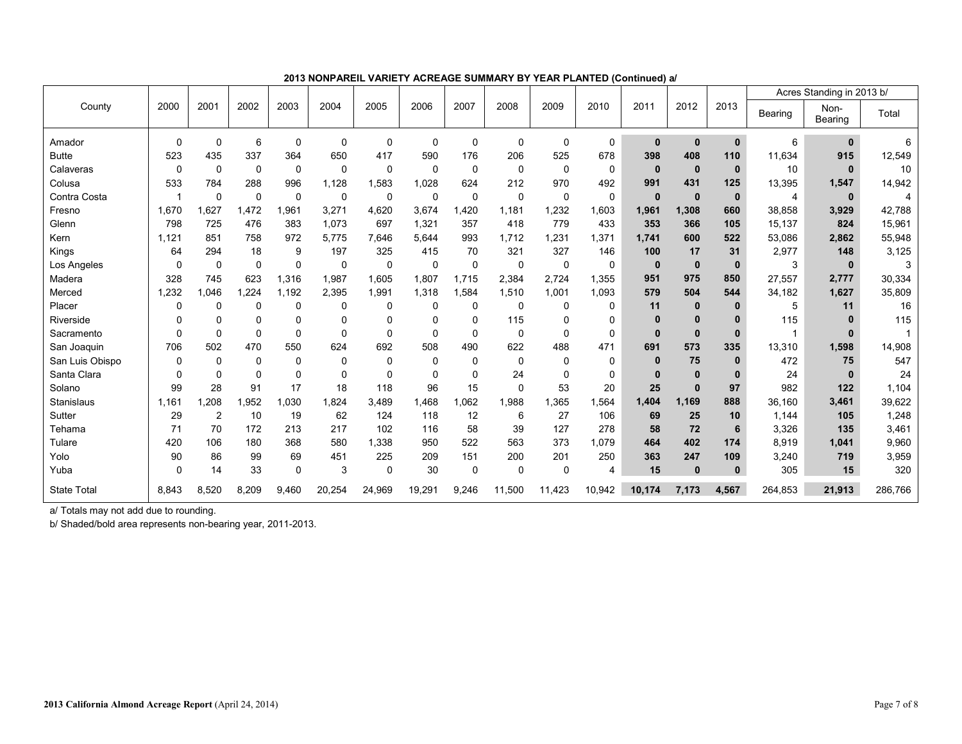|                    |              |                |             |              |              |             |             |       |             |             |                |              |              |              |         | Acres Standing in 2013 b/ |         |
|--------------------|--------------|----------------|-------------|--------------|--------------|-------------|-------------|-------|-------------|-------------|----------------|--------------|--------------|--------------|---------|---------------------------|---------|
| County             | 2000         | 2001           | 2002        | 2003         | 2004         | 2005        | 2006        | 2007  | 2008        | 2009        | 2010           | 2011         | 2012         | 2013         | Bearing | Non-<br>Bearing           | Total   |
| Amador             | $\Omega$     | $\mathbf 0$    | 6           | $\Omega$     | $\mathbf{0}$ | 0           | $\Omega$    | 0     | $\Omega$    | $\Omega$    | $\mathbf 0$    | $\mathbf{0}$ | $\mathbf{0}$ | $\mathbf 0$  | 6       | $\mathbf 0$               | 6       |
| <b>Butte</b>       | 523          | 435            | 337         | 364          | 650          | 417         | 590         | 176   | 206         | 525         | 678            | 398          | 408          | 110          | 11.634  | 915                       | 12,549  |
| Calaveras          | 0            | $\mathbf 0$    | $\mathbf 0$ | $\mathbf 0$  | $\mathbf 0$  | 0           | 0           | 0     | $\mathbf 0$ | $\mathbf 0$ | $\mathbf 0$    | $\mathbf{0}$ | $\mathbf 0$  | $\mathbf{0}$ | 10      | $\bf{0}$                  | 10      |
| Colusa             | 533          | 784            | 288         | 996          | 1,128        | 1,583       | 1,028       | 624   | 212         | 970         | 492            | 991          | 431          | 125          | 13,395  | 1,547                     | 14,942  |
| Contra Costa       | $\mathbf{1}$ | $\mathbf 0$    | $\mathbf 0$ | $\Omega$     | $\mathbf 0$  | 0           | $\mathbf 0$ | 0     | $\Omega$    | $\mathbf 0$ | $\mathbf 0$    | $\mathbf{0}$ | $\mathbf{0}$ | $\mathbf{0}$ | 4       | $\bf{0}$                  | 4       |
| Fresno             | 1,670        | 1,627          | 1,472       | .961         | 3,271        | 4,620       | 3,674       | 1,420 | 1,181       | 1,232       | 1,603          | 1,961        | 1,308        | 660          | 38,858  | 3,929                     | 42,788  |
| Glenn              | 798          | 725            | 476         | 383          | 1,073        | 697         | 1,321       | 357   | 418         | 779         | 433            | 353          | 366          | 105          | 15,137  | 824                       | 15,961  |
| Kern               | 1,121        | 851            | 758         | 972          | 5,775        | 7,646       | 5,644       | 993   | 1,712       | 1,231       | 1,371          | 1,741        | 600          | 522          | 53,086  | 2,862                     | 55,948  |
| Kings              | 64           | 294            | 18          | 9            | 197          | 325         | 415         | 70    | 321         | 327         | 146            | 100          | 17           | 31           | 2,977   | 148                       | 3,125   |
| Los Angeles        | $\Omega$     | 0              | $\mathbf 0$ | $\Omega$     | 0            | 0           | 0           | 0     | 0           | $\mathbf 0$ | 0              | $\mathbf 0$  | $\mathbf{0}$ | $\mathbf{0}$ | 3       | $\bf{0}$                  | 3       |
| Madera             | 328          | 745            | 623         | 1,316        | 1,987        | 1,605       | 1,807       | 1,715 | 2,384       | 2,724       | 1,355          | 951          | 975          | 850          | 27,557  | 2,777                     | 30,334  |
| Merced             | 1,232        | 1,046          | 1,224       | .192         | 2,395        | 1,991       | 1,318       | 1,584 | 1,510       | 1,001       | 1,093          | 579          | 504          | 544          | 34,182  | 1,627                     | 35,809  |
| Placer             | $\Omega$     | $\mathbf 0$    | $\mathbf 0$ | $\mathbf{0}$ | 0            | 0           | $\Omega$    | 0     | $\mathbf 0$ | 0           | 0              | 11           | 0            | $\bf{0}$     | 5       | 11                        | 16      |
| Riverside          | $\Omega$     | $\Omega$       | 0           | $\Omega$     | 0            | $\Omega$    | $\Omega$    | 0     | 115         | $\Omega$    | $\mathbf 0$    | $\mathbf{0}$ | $\bf{0}$     | $\bf{0}$     | 115     | n                         | 115     |
| Sacramento         | $\Omega$     | $\mathbf 0$    | $\pmb{0}$   | $\Omega$     | $\Omega$     | $\mathbf 0$ | $\Omega$    | 0     | 0           | 0           | $\mathbf 0$    | $\mathbf{0}$ | $\bf{0}$     | $\mathbf{0}$ |         | $\bf{0}$                  |         |
| San Joaquin        | 706          | 502            | 470         | 550          | 624          | 692         | 508         | 490   | 622         | 488         | 471            | 691          | 573          | 335          | 13,310  | 1,598                     | 14,908  |
| San Luis Obispo    | $\Omega$     | $\mathbf 0$    | $\pmb{0}$   | $\Omega$     | 0            | 0           | $\mathbf 0$ | 0     | $\mathbf 0$ | $\mathbf 0$ | 0              | $\bf{0}$     | 75           | $\mathbf{0}$ | 472     | 75                        | 547     |
| Santa Clara        | $\Omega$     | $\Omega$       | 0           | $\Omega$     | $\Omega$     | $\Omega$    | $\Omega$    | 0     | 24          | $\Omega$    | $\mathbf 0$    | $\bf{0}$     | $\bf{0}$     | $\bf{0}$     | 24      | $\Omega$                  | 24      |
| Solano             | 99           | 28             | 91          | 17           | 18           | 118         | 96          | 15    | $\Omega$    | 53          | 20             | 25           | $\bf{0}$     | 97           | 982     | 122                       | 1,104   |
| <b>Stanislaus</b>  | 1,161        | .208           | 1,952       | .030         | 1.824        | 3.489       | 1.468       | 1,062 | 1,988       | 1,365       | 1,564          | 1,404        | 1.169        | 888          | 36,160  | 3,461                     | 39,622  |
| Sutter             | 29           | $\overline{2}$ | 10          | 19           | 62           | 124         | 118         | 12    | 6           | 27          | 106            | 69           | 25           | 10           | 1,144   | 105                       | 1,248   |
| Tehama             | 71           | 70             | 172         | 213          | 217          | 102         | 116         | 58    | 39          | 127         | 278            | 58           | 72           | 6            | 3,326   | 135                       | 3,461   |
| Tulare             | 420          | 106            | 180         | 368          | 580          | 1,338       | 950         | 522   | 563         | 373         | 1,079          | 464          | 402          | 174          | 8,919   | 1,041                     | 9,960   |
| Yolo               | 90           | 86             | 99          | 69           | 451          | 225         | 209         | 151   | 200         | 201         | 250            | 363          | 247          | 109          | 3,240   | 719                       | 3,959   |
| Yuba               | $\Omega$     | 14             | 33          | $\Omega$     | 3            | 0           | 30          | 0     | $\Omega$    | $\mathbf 0$ | $\overline{4}$ | 15           | $\mathbf{0}$ | $\mathbf 0$  | 305     | 15                        | 320     |
| <b>State Total</b> | 8,843        | 8,520          | 8,209       | 9.460        | 20,254       | 24,969      | 19,291      | 9,246 | 11,500      | 11,423      | 10,942         | 10,174       | 7,173        | 4,567        | 264,853 | 21,913                    | 286,766 |

**2013 NONPAREIL VARIETY ACREAGE SUMMARY BY YEAR PLANTED (Continued) a/** 

a/ Totals may not add due to rounding.

b/ Shaded/bold area represents non-bearing year, 2011-2013.